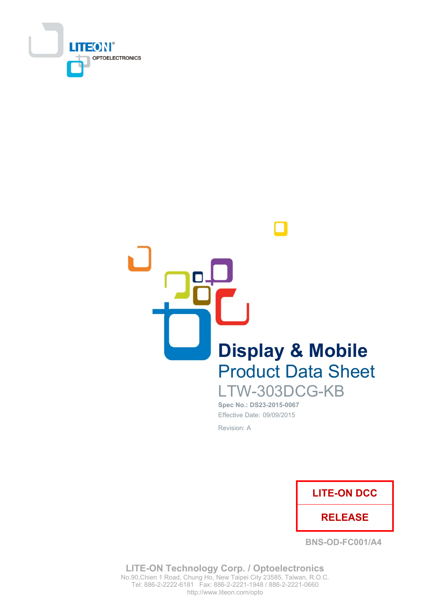



Spec No.: DS23-2015-0067

Effective Date: 09/09/2015 Revision: A



**BNS-OD-FC001/A4** 

**LITE-ON Technology Corp. / Optoelectronics** No.90, Chien 1 Road, Chung Ho, New Taipei City 23585, Taiwan, R.O.C. Tel: 886-2-2222-6181 Fax: 886-2-2221-1948 / 886-2-2221-0660 http://www.liteon.com/opto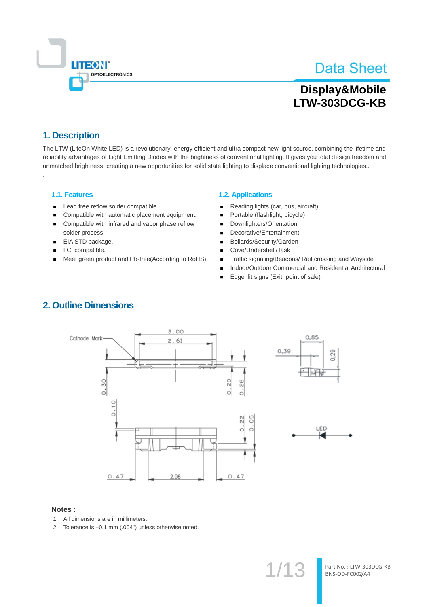

# Display&Mobile LTW-303DCG-KB

## 1. Description

The LTW (LiteOn White LED) is a revolutionary, energy efficient and ultra compact new light source, combining the lifetime and reliability advantages of Light Emitting Diodes with the brightness of conventional lighting. It gives you total design freedom and unmatched brightness, creating a new opportunities for solid state lighting to displace conventional lighting technologies..

### 1.1. Features

- Lead free reflow solder compatible
- Compatible with automatic placement equipment.  $\blacksquare$
- $\blacksquare$ Compatible with infrared and vapor phase reflow solder process.
- EIA STD package.  $\blacksquare$
- I.C. compatible.
- Meet green product and Pb-free(According to RoHS)  $\blacksquare$

#### **1.2. Applications**

- Reading lights (car, bus, aircraft) п
- Portable (flashlight, bicycle)
- Downlighters/Orientation
- Decorative/Entertainment
- Bollards/Security/Garden
- Cove/Undershelf/Task
- Traffic signaling/Beacons/ Rail crossing and Wayside  $\blacksquare$
- Indoor/Outdoor Commercial and Residential Architectural Н
- Edge\_lit signs (Exit, point of sale)

#### $3.00$  $0,85$ Cathode Mark  $2.61$ 0,39 0,29  $0.30$ 20  $^{26}$  $\dot{\circ}$  $\dot{\circ}$  $0.10$ 50 웨  $\dot{\circ}$ LED  $\circ$  $0.47$  $2.06$  $0.47$

#### Notes:

- 1. All dimensions are in millimeters.
- 2. Tolerance is ±0.1 mm (.004") unless otherwise noted.

## **2. Outline Dimensions**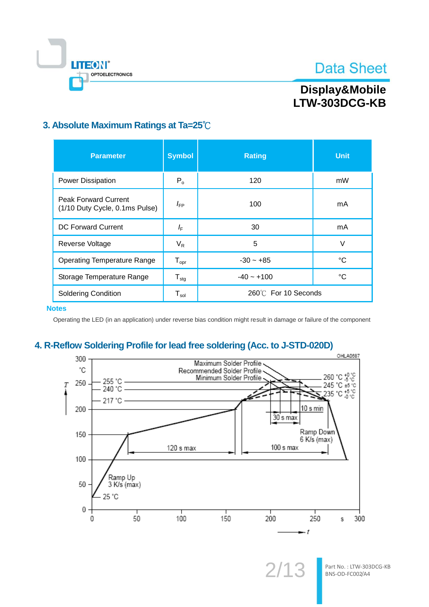

# Display&Mobile LTW-303DCG-KB

## 3. Absolute Maximum Ratings at Ta=25°C

| <b>Parameter</b>                                              | <b>Symbol</b>                | <b>Rating</b>       | <b>Unit</b> |
|---------------------------------------------------------------|------------------------------|---------------------|-------------|
| <b>Power Dissipation</b>                                      | $P_{o}$                      | 120                 | mW          |
| <b>Peak Forward Current</b><br>(1/10 Duty Cycle, 0.1ms Pulse) | $I_{FP}$                     | 100                 | mA          |
| DC Forward Current                                            | IF                           | 30                  | mA          |
| Reverse Voltage                                               | $V_R$                        | 5                   | V           |
| <b>Operating Temperature Range</b>                            | ${\mathsf T}_{\textsf{opr}}$ | $-30 - +85$         | °C          |
| Storage Temperature Range                                     | ${\mathsf T}_{\text{stg}}$   | $-40 - +100$        | °C          |
| <b>Soldering Condition</b>                                    | ${\sf T}_{\sf sol}$          | 260℃ For 10 Seconds |             |

**Notes** 

Operating the LED (in an application) under reverse bias condition might result in damage or failure of the component

## 4. R-Reflow Soldering Profile for lead free soldering (Acc. to J-STD-020D)

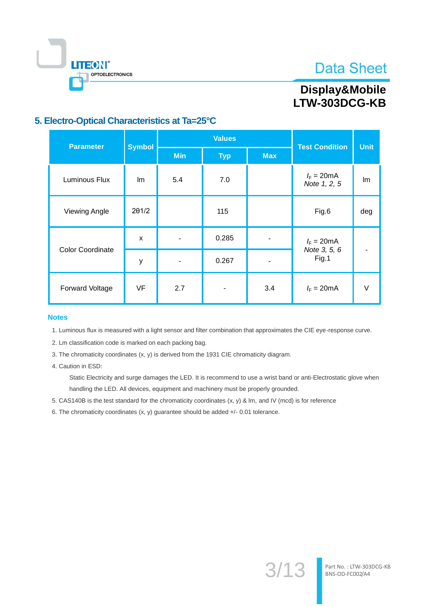

# LITEON® OPTOELECTRONICS

# Display&Mobile LTW-303DCG-KB

## 5. Electro-Optical Characteristics at Ta=25°C

| <b>Parameter</b>        | <b>Symbol</b>             |            | <b>Values</b> | <b>Test Condition</b> | <b>Unit</b>                          |        |
|-------------------------|---------------------------|------------|---------------|-----------------------|--------------------------------------|--------|
|                         |                           | <b>Min</b> | <b>Typ</b>    | <b>Max</b>            |                                      |        |
| Luminous Flux           | Im                        | 5.4        | 7.0           |                       | $I_F = 20 \text{mA}$<br>Note 1, 2, 5 | Im     |
| <b>Viewing Angle</b>    | 201/2                     |            | 115           |                       | Fig.6                                | deg    |
|                         | $\boldsymbol{\mathsf{x}}$ |            | 0.285         |                       | $I_F = 20 \text{mA}$                 |        |
| <b>Color Coordinate</b> | У                         |            | 0.267         |                       | Note 3, 5, 6<br>Fig.1                |        |
| Forward Voltage         | <b>VF</b>                 | 2.7        |               | 3.4                   | $I_F = 20 \text{mA}$                 | $\vee$ |

#### **Notes**

1. Luminous flux is measured with a light sensor and filter combination that approximates the CIE eye-response curve.

2. Lm classification code is marked on each packing bag.

3. The chromaticity coordinates (x, y) is derived from the 1931 CIE chromaticity diagram.

4. Caution in ESD:

Static Electricity and surge damages the LED. It is recommend to use a wrist band or anti-Electrostatic glove when handling the LED. All devices, equipment and machinery must be properly grounded.

5. CAS140B is the test standard for the chromaticity coordinates (x, y) & lm, and IV (mcd) is for reference

6. The chromaticity coordinates  $(x, y)$  guarantee should be added  $+/$ - 0.01 tolerance.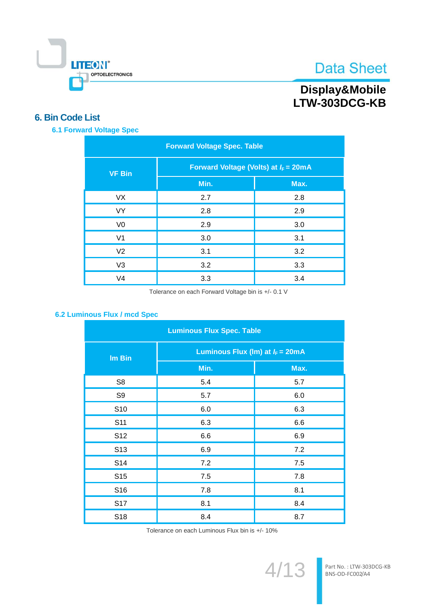

# Display&Mobile<br>LTW-303DCG-KB

## **6. Bin Code List**

**6.1 Forward Voltage Spec** 

| <b>Forward Voltage Spec. Table</b> |                                                 |      |  |  |  |
|------------------------------------|-------------------------------------------------|------|--|--|--|
| <b>VF Bin</b>                      | Forward Voltage (Volts) at $I_F = 20 \text{mA}$ |      |  |  |  |
|                                    | Min.                                            | Max. |  |  |  |
| <b>VX</b>                          | 2.7                                             | 2.8  |  |  |  |
| <b>VY</b>                          | 2.8                                             | 2.9  |  |  |  |
| V <sub>0</sub>                     | 2.9                                             | 3.0  |  |  |  |
| V <sub>1</sub>                     | 3.0                                             | 3.1  |  |  |  |
| V <sub>2</sub>                     | 3.1                                             | 3.2  |  |  |  |
| V <sub>3</sub>                     | 3.2                                             | 3.3  |  |  |  |
| V <sub>4</sub>                     | 3.3                                             | 3.4  |  |  |  |

Tolerance on each Forward Voltage bin is +/- 0.1 V

## 6.2 Luminous Flux / mcd Spec

| <b>Luminous Flux Spec. Table</b> |                                            |      |  |  |  |
|----------------------------------|--------------------------------------------|------|--|--|--|
| Im Bin                           | Luminous Flux (Im) at $I_F = 20 \text{mA}$ |      |  |  |  |
|                                  | Min.                                       | Max. |  |  |  |
| S <sub>8</sub>                   | 5.4                                        | 5.7  |  |  |  |
| S <sub>9</sub>                   | 5.7                                        | 6.0  |  |  |  |
| S <sub>10</sub>                  | 6.0                                        | 6.3  |  |  |  |
| S <sub>11</sub>                  | 6.3                                        | 6.6  |  |  |  |
| S <sub>12</sub>                  | 6.6                                        | 6.9  |  |  |  |
| S <sub>13</sub>                  | 6.9                                        | 7.2  |  |  |  |
| S14                              | 7.2                                        | 7.5  |  |  |  |
| S <sub>15</sub>                  | 7.5                                        | 7.8  |  |  |  |
| S16                              | 7.8                                        | 8.1  |  |  |  |
| <b>S17</b>                       | 8.1                                        | 8.4  |  |  |  |
| S <sub>18</sub>                  | 8.4                                        | 8.7  |  |  |  |

Tolerance on each Luminous Flux bin is +/- 10%

 $4/13$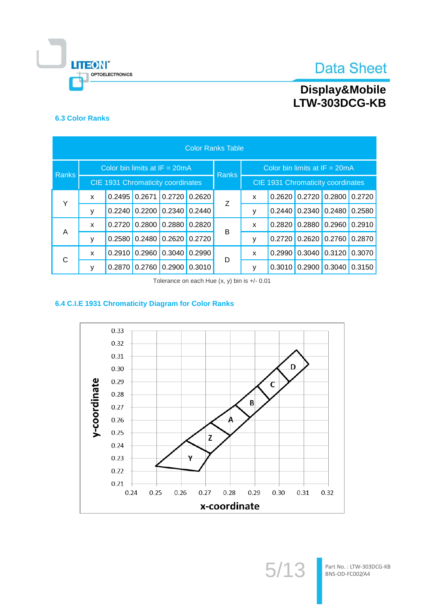

# Display&Mobile<br>LTW-303DCG-KB

## **6.3 Color Ranks**

| <b>Color Ranks Table</b> |              |                                   |        |                 |                 |                                                   |                                 |        |                 |        |        |
|--------------------------|--------------|-----------------------------------|--------|-----------------|-----------------|---------------------------------------------------|---------------------------------|--------|-----------------|--------|--------|
| Ranks                    |              | Color bin limits at $IF = 20mA$   |        |                 |                 |                                                   | Color bin limits at $IF = 20mA$ |        |                 |        |        |
|                          |              | CIE 1931 Chromaticity coordinates |        |                 |                 | <b>Ranks</b><br>CIE 1931 Chromaticity coordinates |                                 |        |                 |        |        |
| Y                        | X            | 0.2495                            | 0.2671 |                 | $0.2720$ 0.2620 | Ζ                                                 | X                               |        | $0.2620$ 0.2720 | 0.2800 | 0.2720 |
|                          | ۷            | 0.2240                            | 0.2200 | $0.2340$ 0.2440 |                 |                                                   | у                               |        | $0.2440$ 0.2340 | 0.2480 | 0.2580 |
| A                        | $\mathsf{x}$ | 0.2720                            | 0.2800 |                 | $0.2880$ 0.2820 | В                                                 | X                               | 0.2820 | 0.2880          | 0.2960 | 0.2910 |
|                          | ۷            | 0.2580                            | 0.2480 | $0.2620$ 0.2720 |                 |                                                   | у                               |        | $0.2720$ 0.2620 | 0.2760 | 0.2870 |
| C                        | X            | 0.2910                            | 0.2960 |                 | $0.3040$ 0.2990 | D                                                 | X                               | 0.2990 | 0.3040          | 0.3120 | 0.3070 |
|                          |              | 0.2870                            | 0.2760 |                 | $0.2900$ 0.3010 |                                                   | ٧                               |        | $0.3010$ 0.2900 | 0.3040 | 0.3150 |

Tolerance on each Hue (x, y) bin is +/- 0.01

## 6.4 C.I.E 1931 Chromaticity Diagram for Color Ranks



 $5/13$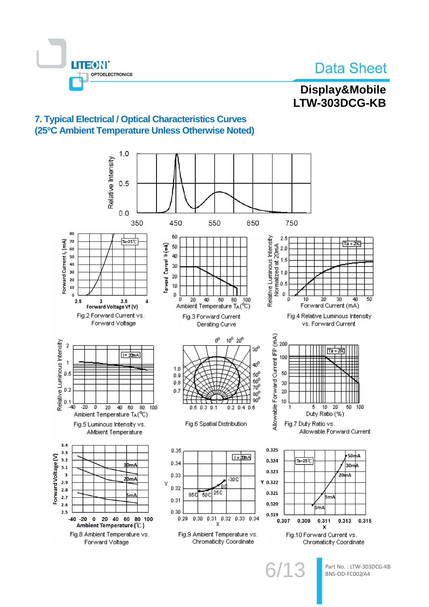

## Display&Mobile LTW-303DCG-KB

## 7. Typical Electrical / Optical Characteristics Curves (25°C Ambient Temperature Unless Otherwise Noted)



Part No.: LTW-303DCG-KB BNS-OD-FC002/A4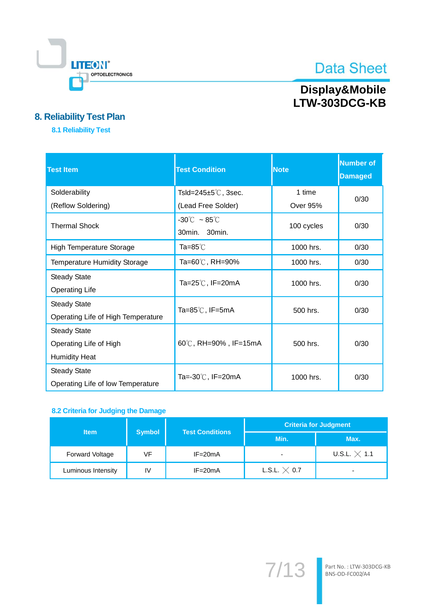

# Display&Mobile<br>LTW-303DCG-KB

## 8. Reliability Test Plan

**8.1 Reliability Test** 

| <b>Test Item</b>                                                      | <b>Test Condition</b>                              | <b>Note</b>     | <b>Number of</b><br><b>Damaged</b> |
|-----------------------------------------------------------------------|----------------------------------------------------|-----------------|------------------------------------|
| Solderability                                                         | Tsld=245±5℃, 3sec.                                 | 1 time          | 0/30                               |
| (Reflow Soldering)                                                    | (Lead Free Solder)                                 | <b>Over 95%</b> |                                    |
| <b>Thermal Shock</b>                                                  | $-30^{\circ}$ C ~ 85 $^{\circ}$ C<br>30min. 30min. | 100 cycles      | 0/30                               |
| <b>High Temperature Storage</b>                                       | Ta=85℃                                             | 1000 hrs.       | 0/30                               |
| <b>Temperature Humidity Storage</b>                                   | Ta=60℃, RH=90%                                     | 1000 hrs.       | 0/30                               |
| <b>Steady State</b><br><b>Operating Life</b>                          | Ta=25 $\degree$ C, IF=20mA                         | 1000 hrs.       | 0/30                               |
| <b>Steady State</b><br>Operating Life of High Temperature             | Ta=85 $\degree$ C, IF=5mA                          | 500 hrs.        | 0/30                               |
| <b>Steady State</b><br>Operating Life of High<br><b>Humidity Heat</b> | 60℃, RH=90%, IF=15mA                               | 500 hrs.        | 0/30                               |
| <b>Steady State</b><br>Operating Life of low Temperature              | Ta=-30℃, IF=20mA                                   | 1000 hrs.       | 0/30                               |

## 8.2 Criteria for Judging the Damage

| <b>Item</b>            |               | <b>Test Conditions</b> | <b>Criteria for Judgment</b> |                          |  |  |
|------------------------|---------------|------------------------|------------------------------|--------------------------|--|--|
|                        | <b>Symbol</b> |                        | Min.                         | Max.                     |  |  |
| <b>Forward Voltage</b> | VF            | $IF = 20mA$            | ۰                            | U.S.L. $\times$ 1.1      |  |  |
| Luminous Intensity     | IV            | $IF = 20mA$            | L.S.L. $\times$ 0.7          | $\overline{\phantom{0}}$ |  |  |

 $7/13$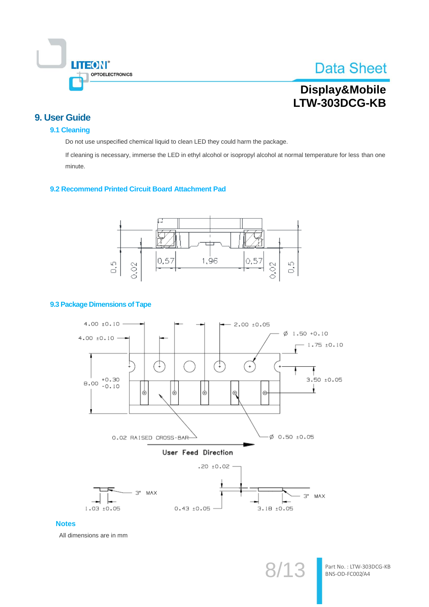

# Display&Mobile LTW-303DCG-KB

## 9. User Guide

### 9.1 Cleaning

Do not use unspecified chemical liquid to clean LED they could harm the package.

If cleaning is necessary, immerse the LED in ethyl alcohol or isopropyl alcohol at normal temperature for less than one minute.

#### 9.2 Recommend Printed Circuit Board Attachment Pad



### 9.3 Package Dimensions of Tape



### **Notes**

All dimensions are in mm

Part No.: LTW-303DCG-KB BNS-OD-FC002/A4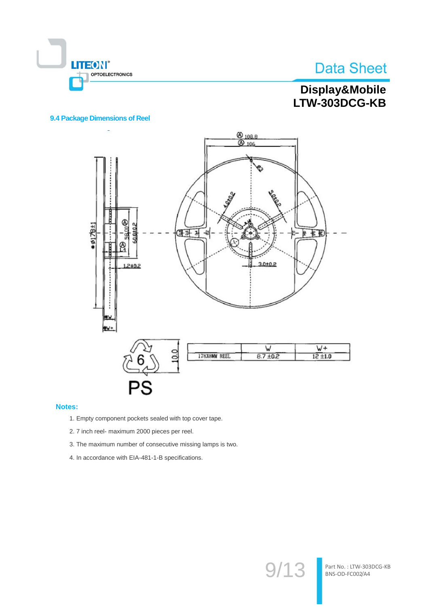

Part No.: LTW-303DCG-KB

BNS-OD-FC002/A4

 $9/13$ 

# Display&Mobile LTW-303DCG-KB

### 9.4 Package Dimensions of Reel



#### Notes:

- 1. Empty component pockets sealed with top cover tape.
- 2. 7 inch reel- maximum 2000 pieces per reel.
- 3. The maximum number of consecutive missing lamps is two.
- 4. In accordance with EIA-481-1-B specifications.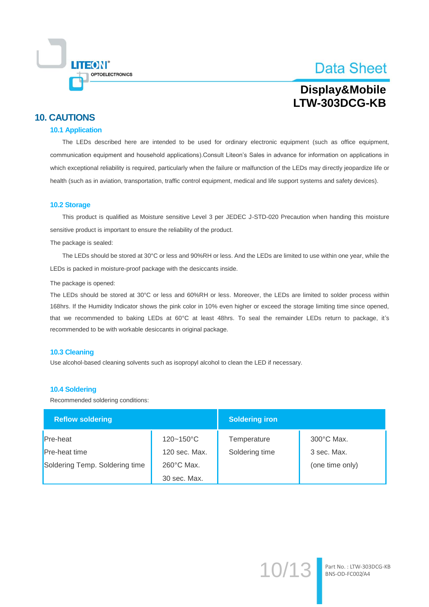

Part No.: LTW-303DCG-KB<br>BNS-OD-FC002/A4

## Display&Mobile LTW-303DCG-KB

## **10. CAUTIONS**

#### **10.1 Application**

The LEDs described here are intended to be used for ordinary electronic equipment (such as office equipment, communication equipment and household applications).Consult Liteon's Sales in advance for information on applications in which exceptional reliability is required, particularly when the failure or malfunction of the LEDs may directly jeopardize life or health (such as in aviation, transportation, traffic control equipment, medical and life support systems and safety devices).

#### 10.2 Storage

This product is qualified as Moisture sensitive Level 3 per JEDEC J-STD-020 Precaution when handing this moisture sensitive product is important to ensure the reliability of the product.

The package is sealed:

The LEDs should be stored at 30°C or less and 90%RH or less. And the LEDs are limited to use within one year, while the LEDs is packed in moisture-proof package with the desiccants inside.

#### The package is opened:

The LEDs should be stored at 30°C or less and 60%RH or less. Moreover, the LEDs are limited to solder process within 168hrs. If the Humidity Indicator shows the pink color in 10% even higher or exceed the storage limiting time since opened, that we recommended to baking LEDs at 60°C at least 48hrs. To seal the remainder LEDs return to package, it's recommended to be with workable desiccants in original package.

#### 10.3 Cleaning

Use alcohol-based cleaning solvents such as isopropyl alcohol to clean the LED if necessary.

#### **10.4 Soldering**

Recommended soldering conditions:

| <b>Reflow soldering</b>        |                      | <b>Soldering iron</b> |                 |  |  |
|--------------------------------|----------------------|-----------------------|-----------------|--|--|
| Pre-heat                       | 120~150°C            | Temperature           | 300°C Max.      |  |  |
| Pre-heat time                  | 120 sec. Max.        | Soldering time        | 3 sec. Max.     |  |  |
| Soldering Temp. Soldering time | $260^{\circ}$ C Max. |                       | (one time only) |  |  |
|                                | 30 sec. Max.         |                       |                 |  |  |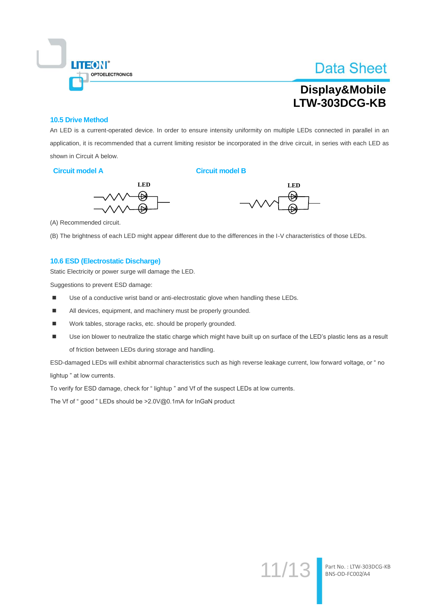

# Display&Mobile LTW-303DCG-KB

#### **10.5 Drive Method**

An LED is a current-operated device. In order to ensure intensity uniformity on multiple LEDs connected in parallel in an application, it is recommended that a current limiting resistor be incorporated in the drive circuit, in series with each LED as shown in Circuit A below.

#### Circuit model A

**Circuit model B** 





(A) Recommended circuit.

(B) The brightness of each LED might appear different due to the differences in the I-V characteristics of those LEDs.

### 10.6 ESD (Electrostatic Discharge)

Static Electricity or power surge will damage the LED.

Suggestions to prevent ESD damage:

- Use of a conductive wrist band or anti-electrostatic glove when handling these LEDs.  $\blacksquare$
- $\blacksquare$ All devices, equipment, and machinery must be properly grounded.
- $\blacksquare$ Work tables, storage racks, etc. should be properly grounded.
- Use ion blower to neutralize the static charge which might have built up on surface of the LED's plastic lens as a result × of friction between LEDs during storage and handling.

ESD-damaged LEDs will exhibit abnormal characteristics such as high reverse leakage current, low forward voltage, or "no lightup " at low currents.

To verify for ESD damage, check for "lightup" and Vf of the suspect LEDs at low currents.

The Vf of "good" LEDs should be >2.0V@0.1mA for InGaN product

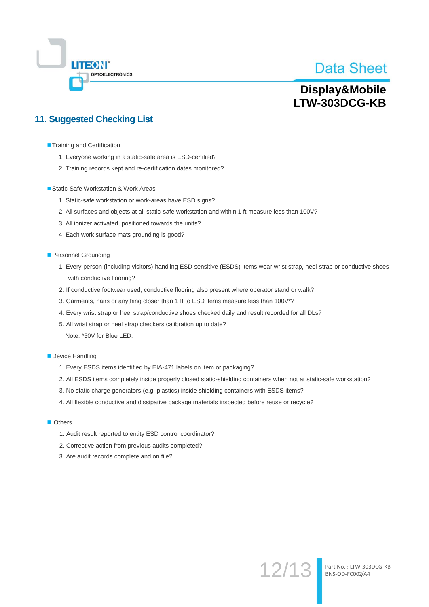

Part No.: LTW-303DCG-KB<br>BNS-OD-FC002/A4

 $12/13$ 

## Display&Mobile LTW-303DCG-KB

## **11. Suggested Checking List**

- Training and Certification
	- 1. Everyone working in a static-safe area is ESD-certified?
	- 2. Training records kept and re-certification dates monitored?
- Static-Safe Workstation & Work Areas
	- 1. Static-safe workstation or work-areas have ESD signs?
	- 2. All surfaces and objects at all static-safe workstation and within 1 ft measure less than 100V?
	- 3. All ionizer activated, positioned towards the units?
	- 4. Each work surface mats grounding is good?
- Personnel Grounding
	- 1. Every person (including visitors) handling ESD sensitive (ESDS) items wear wrist strap, heel strap or conductive shoes with conductive flooring?
	- 2. If conductive footwear used, conductive flooring also present where operator stand or walk?
	- 3. Garments, hairs or anything closer than 1 ft to ESD items measure less than 100V\*?
	- 4. Every wrist strap or heel strap/conductive shoes checked daily and result recorded for all DLs?
	- 5. All wrist strap or heel strap checkers calibration up to date?
		- Note: \*50V for Blue LED.
- Device Handling
	- 1. Every ESDS items identified by EIA-471 labels on item or packaging?
	- 2. All ESDS items completely inside properly closed static-shielding containers when not at static-safe workstation?
	- 3. No static charge generators (e.g. plastics) inside shielding containers with ESDS items?
	- 4. All flexible conductive and dissipative package materials inspected before reuse or recycle?
- **Others** 
	- 1. Audit result reported to entity ESD control coordinator?
	- 2. Corrective action from previous audits completed?
	- 3. Are audit records complete and on file?